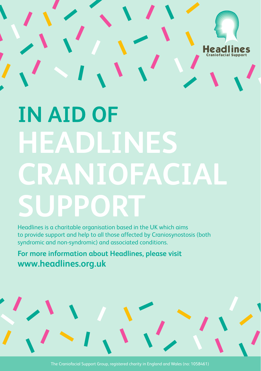

# **IN AID OF HEADLINES CRANIOFACIAL SUPPORT**

Headlines is a charitable organisation based in the UK which aims to provide support and help to all those affected by Craniosynostosis (both syndromic and non-syndromic) and associated conditions.

**For more information about Headlines, please visit www.headlines.org.uk**

The Craniofacial Support Group, registered charity in England and Wales (no: 1058461)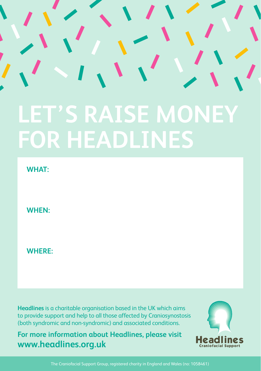## **LET'S RAISE MONEY FOR HEADLINES**

**WHAT:**

**WHEN:**

**WHERE:**

**Headlines** is a charitable organisation based in the UK which aims to provide support and help to all those affected by Craniosynostosis (both syndromic and non-syndromic) and associated conditions.

**For more information about Headlines, please visit www.headlines.org.uk**



The Craniofacial Support Group, registered charity in England and Wales (no: 1058461)